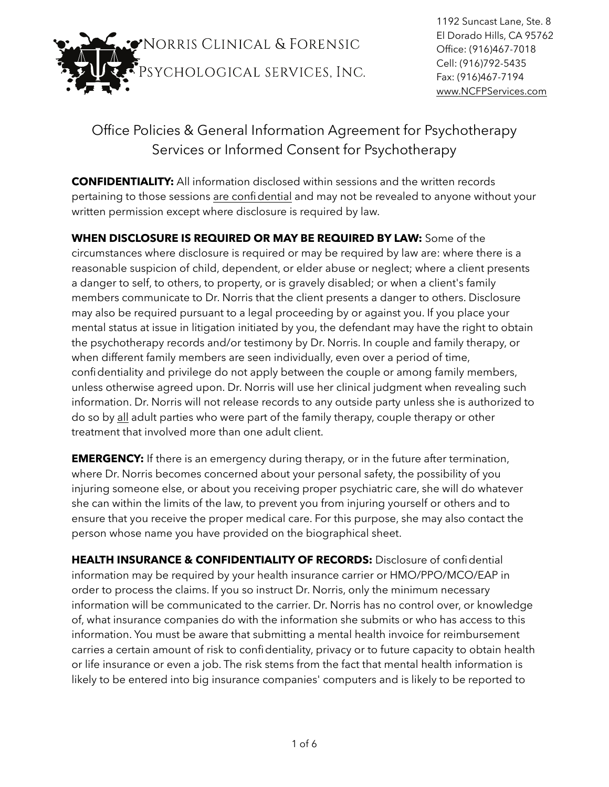

1192 Suncast Lane, Ste. 8 El Dorado Hills, CA 95762 Office: (916)467-7018 Cell: (916)792-5435 Fax: (916)467-7194 [www.NCFPServices.com](http://www.NCFPServices.com)

## Office Policies & General Information Agreement for Psychotherapy Services or Informed Consent for Psychotherapy

**CONFIDENTIALITY:** All information disclosed within sessions and the written records pertaining to those sessions are confidential and may not be revealed to anyone without your written permission except where disclosure is required by law.

**WHEN DISCLOSURE IS REQUIRED OR MAY BE REQUIRED BY LAW:** Some of the circumstances where disclosure is required or may be required by law are: where there is a reasonable suspicion of child, dependent, or elder abuse or neglect; where a client presents a danger to self, to others, to property, or is gravely disabled; or when a client's family members communicate to Dr. Norris that the client presents a danger to others. Disclosure may also be required pursuant to a legal proceeding by or against you. If you place your mental status at issue in litigation initiated by you, the defendant may have the right to obtain the psychotherapy records and/or testimony by Dr. Norris. In couple and family therapy, or when different family members are seen individually, even over a period of time, confidentiality and privilege do not apply between the couple or among family members, unless otherwise agreed upon. Dr. Norris will use her clinical judgment when revealing such information. Dr. Norris will not release records to any outside party unless she is authorized to do so by all adult parties who were part of the family therapy, couple therapy or other treatment that involved more than one adult client.

**EMERGENCY:** If there is an emergency during therapy, or in the future after termination, where Dr. Norris becomes concerned about your personal safety, the possibility of you injuring someone else, or about you receiving proper psychiatric care, she will do whatever she can within the limits of the law, to prevent you from injuring yourself or others and to ensure that you receive the proper medical care. For this purpose, she may also contact the person whose name you have provided on the biographical sheet.

**HEALTH INSURANCE & CONFIDENTIALITY OF RECORDS:** Disclosure of confidential information may be required by your health insurance carrier or HMO/PPO/MCO/EAP in order to process the claims. If you so instruct Dr. Norris, only the minimum necessary information will be communicated to the carrier. Dr. Norris has no control over, or knowledge of, what insurance companies do with the information she submits or who has access to this information. You must be aware that submitting a mental health invoice for reimbursement carries a certain amount of risk to confidentiality, privacy or to future capacity to obtain health or life insurance or even a job. The risk stems from the fact that mental health information is likely to be entered into big insurance companies' computers and is likely to be reported to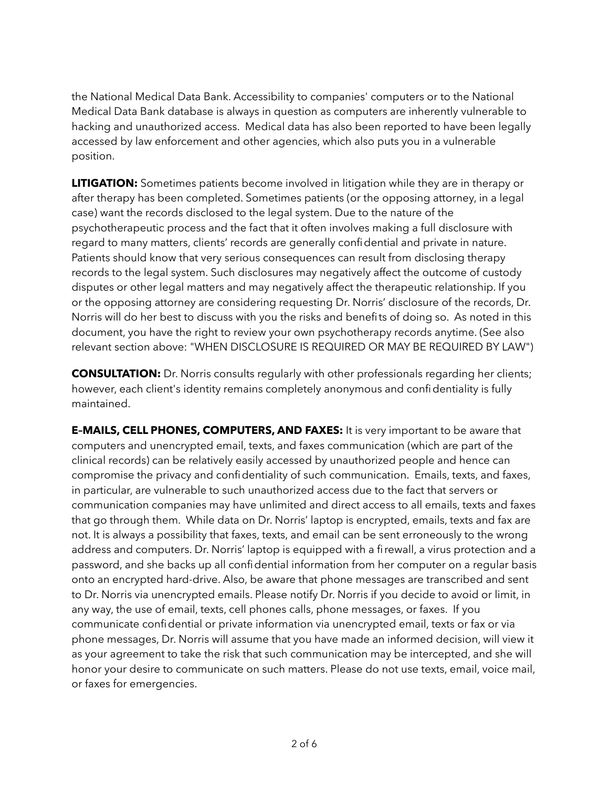the National Medical Data Bank. Accessibility to companies' computers or to the National Medical Data Bank database is always in question as computers are inherently vulnerable to hacking and unauthorized access. Medical data has also been reported to have been legally accessed by law enforcement and other agencies, which also puts you in a vulnerable position.

**LITIGATION:** Sometimes patients become involved in litigation while they are in therapy or after therapy has been completed. Sometimes patients (or the opposing attorney, in a legal case) want the records disclosed to the legal system. Due to the nature of the psychotherapeutic process and the fact that it often involves making a full disclosure with regard to many matters, clients' records are generally confidential and private in nature. Patients should know that very serious consequences can result from disclosing therapy records to the legal system. Such disclosures may negatively affect the outcome of custody disputes or other legal matters and may negatively affect the therapeutic relationship. If you or the opposing attorney are considering requesting Dr. Norris' disclosure of the records, Dr. Norris will do her best to discuss with you the risks and benefits of doing so. As noted in this document, you have the right to review your own psychotherapy records anytime. (See also relevant section above: "WHEN DISCLOSURE IS REQUIRED OR MAY BE REQUIRED BY LAW")

**CONSULTATION:** Dr. Norris consults regularly with other professionals regarding her clients; however, each client's identity remains completely anonymous and confidentiality is fully maintained.

**E–MAILS, CELL PHONES, COMPUTERS, AND FAXES:** It is very important to be aware that computers and unencrypted email, texts, and faxes communication (which are part of the clinical records) can be relatively easily accessed by unauthorized people and hence can compromise the privacy and confidentiality of such communication. Emails, texts, and faxes, in particular, are vulnerable to such unauthorized access due to the fact that servers or communication companies may have unlimited and direct access to all emails, texts and faxes that go through them. While data on Dr. Norris' laptop is encrypted, emails, texts and fax are not. It is always a possibility that faxes, texts, and email can be sent erroneously to the wrong address and computers. Dr. Norris' laptop is equipped with a firewall, a virus protection and a password, and she backs up all confidential information from her computer on a regular basis onto an encrypted hard-drive. Also, be aware that phone messages are transcribed and sent to Dr. Norris via unencrypted emails. Please notify Dr. Norris if you decide to avoid or limit, in any way, the use of email, texts, cell phones calls, phone messages, or faxes. If you communicate confidential or private information via unencrypted email, texts or fax or via phone messages, Dr. Norris will assume that you have made an informed decision, will view it as your agreement to take the risk that such communication may be intercepted, and she will honor your desire to communicate on such matters. Please do not use texts, email, voice mail, or faxes for emergencies.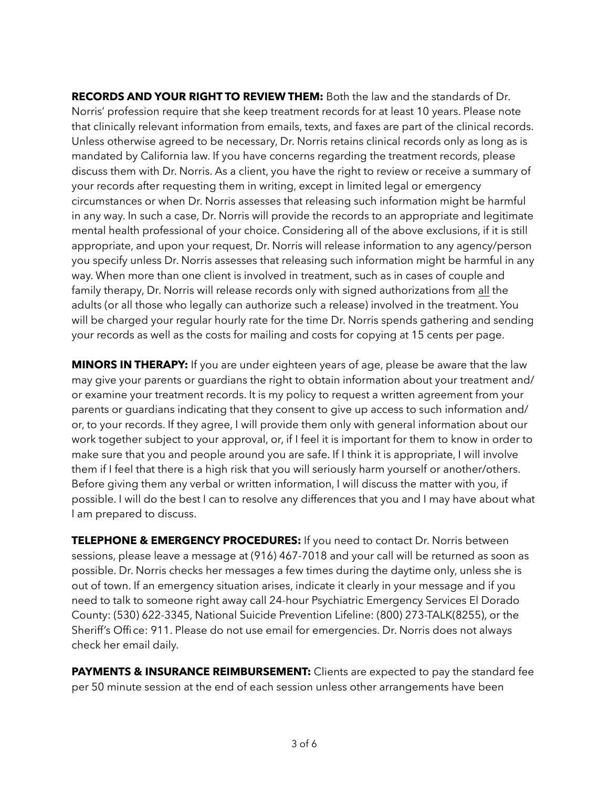**RECORDS AND YOUR RIGHT TO REVIEW THEM:** Both the law and the standards of Dr. Norris' profession require that she keep treatment records for at least 10 years. Please note that clinically relevant information from emails, texts, and faxes are part of the clinical records. Unless otherwise agreed to be necessary, Dr. Norris retains clinical records only as long as is mandated by California law. If you have concerns regarding the treatment records, please discuss them with Dr. Norris. As a client, you have the right to review or receive a summary of your records after requesting them in writing, except in limited legal or emergency circumstances or when Dr. Norris assesses that releasing such information might be harmful in any way. In such a case, Dr. Norris will provide the records to an appropriate and legitimate mental health professional of your choice. Considering all of the above exclusions, if it is still appropriate, and upon your request, Dr. Norris will release information to any agency/person you specify unless Dr. Norris assesses that releasing such information might be harmful in any way. When more than one client is involved in treatment, such as in cases of couple and family therapy, Dr. Norris will release records only with signed authorizations from all the adults (or all those who legally can authorize such a release) involved in the treatment. You will be charged your regular hourly rate for the time Dr. Norris spends gathering and sending your records as well as the costs for mailing and costs for copying at 15 cents per page.

**MINORS IN THERAPY:** If you are under eighteen years of age, please be aware that the law may give your parents or guardians the right to obtain information about your treatment and/ or examine your treatment records. It is my policy to request a written agreement from your parents or guardians indicating that they consent to give up access to such information and/ or, to your records. If they agree, I will provide them only with general information about our work together subject to your approval, or, if I feel it is important for them to know in order to make sure that you and people around you are safe. If I think it is appropriate, I will involve them if I feel that there is a high risk that you will seriously harm yourself or another/others. Before giving them any verbal or written information, I will discuss the matter with you, if possible. I will do the best I can to resolve any differences that you and I may have about what I am prepared to discuss.

**TELEPHONE & EMERGENCY PROCEDURES:** If you need to contact Dr. Norris between sessions, please leave a message at (916) 467-7018 and your call will be returned as soon as possible. Dr. Norris checks her messages a few times during the daytime only, unless she is out of town. If an emergency situation arises, indicate it clearly in your message and if you need to talk to someone right away call 24-hour Psychiatric Emergency Services El Dorado County: (530) 622-3345, National Suicide Prevention Lifeline: (800) 273-TALK(8255), or the Sheriff's Office: 911. Please do not use email for emergencies. Dr. Norris does not always check her email daily.

**PAYMENTS & INSURANCE REIMBURSEMENT:** Clients are expected to pay the standard fee per 50 minute session at the end of each session unless other arrangements have been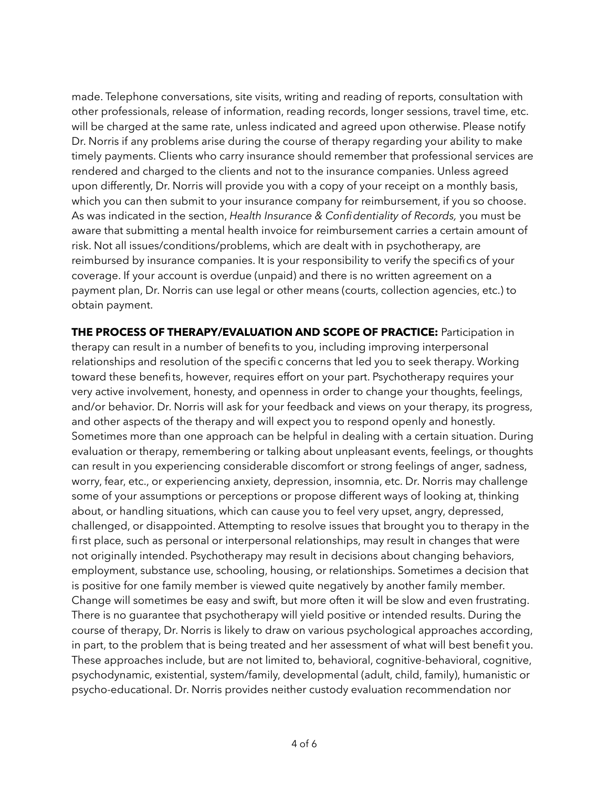made. Telephone conversations, site visits, writing and reading of reports, consultation with other professionals, release of information, reading records, longer sessions, travel time, etc. will be charged at the same rate, unless indicated and agreed upon otherwise. Please notify Dr. Norris if any problems arise during the course of therapy regarding your ability to make timely payments. Clients who carry insurance should remember that professional services are rendered and charged to the clients and not to the insurance companies. Unless agreed upon differently, Dr. Norris will provide you with a copy of your receipt on a monthly basis, which you can then submit to your insurance company for reimbursement, if you so choose. As was indicated in the section, *Health Insurance & Confidentiality of Records,* you must be aware that submitting a mental health invoice for reimbursement carries a certain amount of risk. Not all issues/conditions/problems, which are dealt with in psychotherapy, are reimbursed by insurance companies. It is your responsibility to verify the specifics of your coverage. If your account is overdue (unpaid) and there is no written agreement on a payment plan, Dr. Norris can use legal or other means (courts, collection agencies, etc.) to obtain payment.

**THE PROCESS OF THERAPY/EVALUATION AND SCOPE OF PRACTICE:** Participation in therapy can result in a number of benefits to you, including improving interpersonal relationships and resolution of the specific concerns that led you to seek therapy. Working toward these benefits, however, requires effort on your part. Psychotherapy requires your very active involvement, honesty, and openness in order to change your thoughts, feelings, and/or behavior. Dr. Norris will ask for your feedback and views on your therapy, its progress, and other aspects of the therapy and will expect you to respond openly and honestly. Sometimes more than one approach can be helpful in dealing with a certain situation. During evaluation or therapy, remembering or talking about unpleasant events, feelings, or thoughts can result in you experiencing considerable discomfort or strong feelings of anger, sadness, worry, fear, etc., or experiencing anxiety, depression, insomnia, etc. Dr. Norris may challenge some of your assumptions or perceptions or propose different ways of looking at, thinking about, or handling situations, which can cause you to feel very upset, angry, depressed, challenged, or disappointed. Attempting to resolve issues that brought you to therapy in the first place, such as personal or interpersonal relationships, may result in changes that were not originally intended. Psychotherapy may result in decisions about changing behaviors, employment, substance use, schooling, housing, or relationships. Sometimes a decision that is positive for one family member is viewed quite negatively by another family member. Change will sometimes be easy and swift, but more often it will be slow and even frustrating. There is no guarantee that psychotherapy will yield positive or intended results. During the course of therapy, Dr. Norris is likely to draw on various psychological approaches according, in part, to the problem that is being treated and her assessment of what will best benefit you. These approaches include, but are not limited to, behavioral, cognitive-behavioral, cognitive, psychodynamic, existential, system/family, developmental (adult, child, family), humanistic or psycho-educational. Dr. Norris provides neither custody evaluation recommendation nor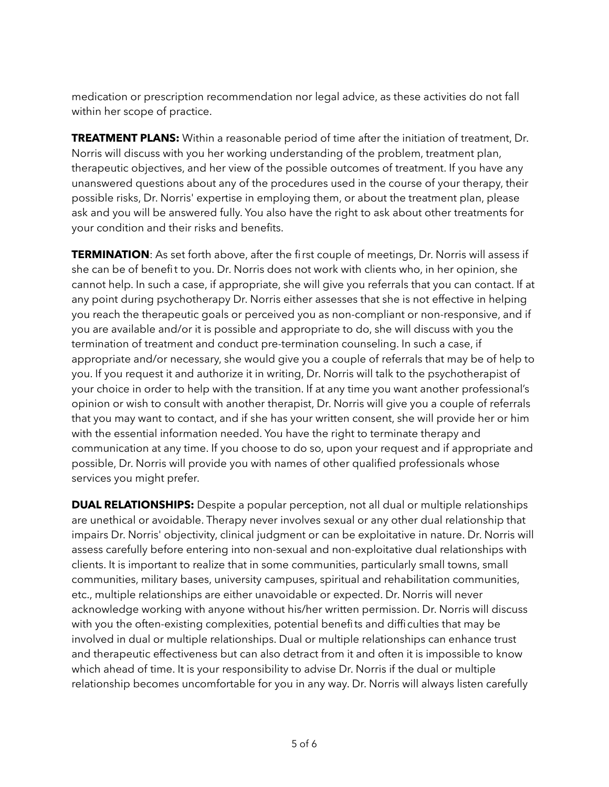medication or prescription recommendation nor legal advice, as these activities do not fall within her scope of practice.

**TREATMENT PLANS:** Within a reasonable period of time after the initiation of treatment, Dr. Norris will discuss with you her working understanding of the problem, treatment plan, therapeutic objectives, and her view of the possible outcomes of treatment. If you have any unanswered questions about any of the procedures used in the course of your therapy, their possible risks, Dr. Norris' expertise in employing them, or about the treatment plan, please ask and you will be answered fully. You also have the right to ask about other treatments for your condition and their risks and benefits.

**TERMINATION**: As set forth above, after the first couple of meetings, Dr. Norris will assess if she can be of benefit to you. Dr. Norris does not work with clients who, in her opinion, she cannot help. In such a case, if appropriate, she will give you referrals that you can contact. If at any point during psychotherapy Dr. Norris either assesses that she is not effective in helping you reach the therapeutic goals or perceived you as non-compliant or non-responsive, and if you are available and/or it is possible and appropriate to do, she will discuss with you the termination of treatment and conduct pre-termination counseling. In such a case, if appropriate and/or necessary, she would give you a couple of referrals that may be of help to you. If you request it and authorize it in writing, Dr. Norris will talk to the psychotherapist of your choice in order to help with the transition. If at any time you want another professional's opinion or wish to consult with another therapist, Dr. Norris will give you a couple of referrals that you may want to contact, and if she has your written consent, she will provide her or him with the essential information needed. You have the right to terminate therapy and communication at any time. If you choose to do so, upon your request and if appropriate and possible, Dr. Norris will provide you with names of other qualified professionals whose services you might prefer.

**DUAL RELATIONSHIPS:** Despite a popular perception, not all dual or multiple relationships are unethical or avoidable. Therapy never involves sexual or any other dual relationship that impairs Dr. Norris' objectivity, clinical judgment or can be exploitative in nature. Dr. Norris will assess carefully before entering into non-sexual and non-exploitative dual relationships with clients. It is important to realize that in some communities, particularly small towns, small communities, military bases, university campuses, spiritual and rehabilitation communities, etc., multiple relationships are either unavoidable or expected. Dr. Norris will never acknowledge working with anyone without his/her written permission. Dr. Norris will discuss with you the often-existing complexities, potential benefits and difficulties that may be involved in dual or multiple relationships. Dual or multiple relationships can enhance trust and therapeutic effectiveness but can also detract from it and often it is impossible to know which ahead of time. It is your responsibility to advise Dr. Norris if the dual or multiple relationship becomes uncomfortable for you in any way. Dr. Norris will always listen carefully